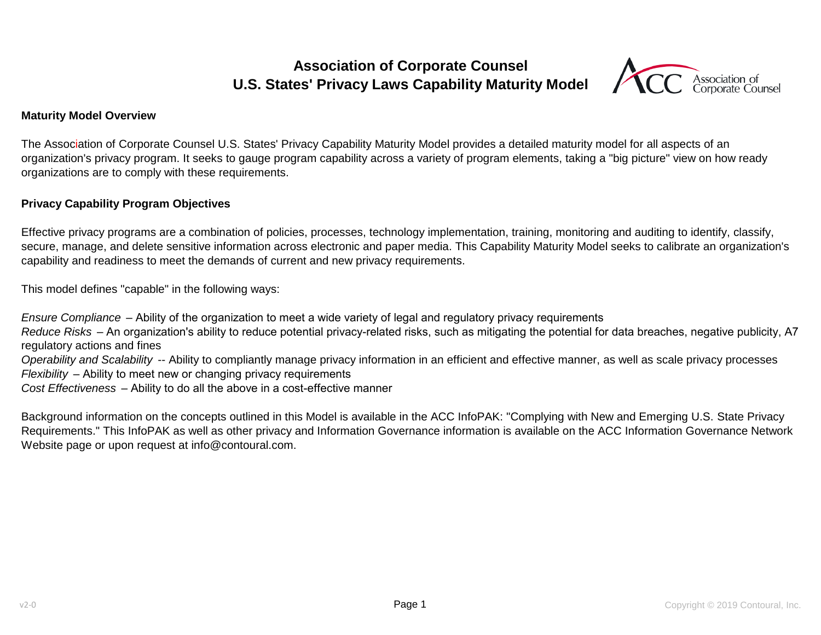# **U.S. States' Privacy Laws Capability Maturity Model Association of Corporate Counsel**



#### **Maturity Model Overview**

The Association of Corporate Counsel U.S. States' Privacy Capability Maturity Model provides a detailed maturity model for all aspects of an organization's privacy program. It seeks to gauge program capability across a variety of program elements, taking a "big picture" view on how ready organizations are to comply with these requirements.

#### **Privacy Capability Program Objectives**

Effective privacy programs are a combination of policies, processes, technology implementation, training, monitoring and auditing to identify, classify, secure, manage, and delete sensitive information across electronic and paper media. This Capability Maturity Model seeks to calibrate an organization's capability and readiness to meet the demands of current and new privacy requirements.

This model defines "capable" in the following ways:

*Ensure Compliance* – Ability of the organization to meet a wide variety of legal and regulatory privacy requirements *Reduce Risks* – An organization's ability to reduce potential privacy-related risks, such as mitigating the potential for data breaches, negative publicity, A7 regulatory actions and fines *Operability and Scalability* -- Ability to compliantly manage privacy information in an efficient and effective manner, as well as scale privacy processes *Flexibility* – Ability to meet new or changing privacy requirements *Cost Effectiveness* – Ability to do all the above in a cost-effective manner

Background information on the concepts outlined in this Model is available in the ACC InfoPAK: "Complying with New and Emerging U.S. State Privacy Requirements." This InfoPAK as well as other privacy and Information Governance information is available on the ACC Information Governance Network Website page or upon request at info@contoural.com.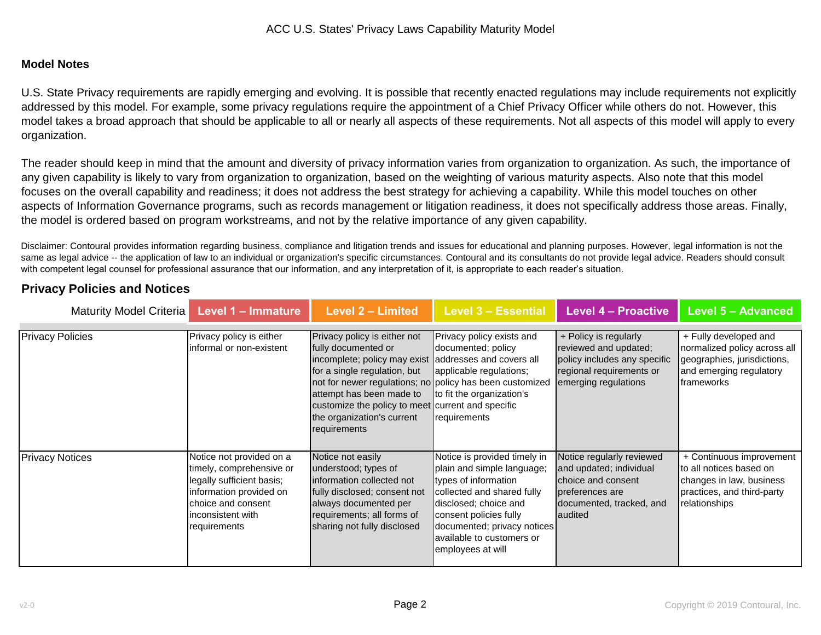#### **Model Notes**

U.S. State Privacy requirements are rapidly emerging and evolving. It is possible that recently enacted regulations may include requirements not explicitly addressed by this model. For example, some privacy regulations require the appointment of a Chief Privacy Officer while others do not. However, this model takes a broad approach that should be applicable to all or nearly all aspects of these requirements. Not all aspects of this model will apply to every organization.

The reader should keep in mind that the amount and diversity of privacy information varies from organization to organization. As such, the importance of any given capability is likely to vary from organization to organization, based on the weighting of various maturity aspects. Also note that this model focuses on the overall capability and readiness; it does not address the best strategy for achieving a capability. While this model touches on other aspects of Information Governance programs, such as records management or litigation readiness, it does not specifically address those areas. Finally, the model is ordered based on program workstreams, and not by the relative importance of any given capability.

Disclaimer: Contoural provides information regarding business, compliance and litigation trends and issues for educational and planning purposes. However, legal information is not the same as legal advice -- the application of law to an individual or organization's specific circumstances. Contoural and its consultants do not provide legal advice. Readers should consult with competent legal counsel for professional assurance that our information, and any interpretation of it, is appropriate to each reader's situation.

| Maturity Model Criteria | Level 1 - Immature                                   | <b>Level 2 - Limited</b>                                 | <b>Level 3 - Essential</b>                      | <b>Level 4 - Proactive</b>                     | <b>Level 5 - Advanced</b>                             |
|-------------------------|------------------------------------------------------|----------------------------------------------------------|-------------------------------------------------|------------------------------------------------|-------------------------------------------------------|
|                         |                                                      |                                                          |                                                 |                                                |                                                       |
| <b>Privacy Policies</b> | Privacy policy is either<br>informal or non-existent | Privacy policy is either not<br>fully documented or      | Privacy policy exists and<br>documented; policy | + Policy is regularly<br>reviewed and updated; | + Fully developed and<br>normalized policy across all |
|                         |                                                      | incomplete; policy may exist addresses and covers all    |                                                 | policy includes any specific                   | geographies, jurisdictions,                           |
|                         |                                                      | for a single regulation, but                             | applicable regulations;                         | regional requirements or                       | and emerging regulatory                               |
|                         |                                                      | not for newer regulations; no policy has been customized |                                                 | emerging regulations                           | frameworks                                            |
|                         |                                                      | attempt has been made to                                 | to fit the organization's                       |                                                |                                                       |
|                         |                                                      | customize the policy to meet current and specific        |                                                 |                                                |                                                       |
|                         |                                                      | the organization's current                               | requirements                                    |                                                |                                                       |
|                         |                                                      | requirements                                             |                                                 |                                                |                                                       |
|                         |                                                      |                                                          |                                                 |                                                |                                                       |
| <b>Privacy Notices</b>  | Notice not provided on a                             | Notice not easily                                        | Notice is provided timely in                    | Notice regularly reviewed                      | + Continuous improvement                              |
|                         | timely, comprehensive or                             | understood; types of                                     | plain and simple language;                      | and updated; individual                        | Ito all notices based on                              |
|                         | legally sufficient basis;                            | information collected not                                | types of information                            | choice and consent                             | changes in law, business                              |
|                         | information provided on                              | fully disclosed; consent not                             | collected and shared fully                      | preferences are                                | practices, and third-party                            |
|                         | choice and consent                                   | always documented per                                    | disclosed; choice and                           | documented, tracked, and                       | relationships                                         |
|                         | inconsistent with                                    | requirements; all forms of                               | consent policies fully                          | audited                                        |                                                       |
|                         | requirements                                         | sharing not fully disclosed                              | documented; privacy notices                     |                                                |                                                       |
|                         |                                                      |                                                          | available to customers or                       |                                                |                                                       |
|                         |                                                      |                                                          | employees at will                               |                                                |                                                       |
|                         |                                                      |                                                          |                                                 |                                                |                                                       |

#### **Privacy Policies and Notices**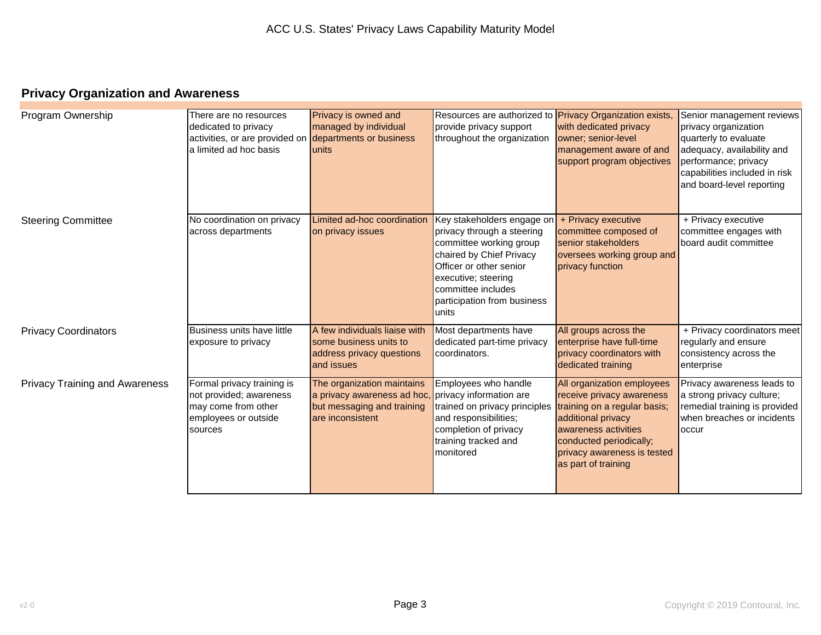## **Privacy Organization and Awareness**

| Program Ownership                     | There are no resources<br>dedicated to privacy<br>activities, or are provided on<br>a limited ad hoc basis      | Privacy is owned and<br>managed by individual<br>departments or business<br>units                                                   | Resources are authorized to <b>Privacy Organization exists</b> ,<br>provide privacy support<br>throughout the organization                                                                                                      | with dedicated privacy<br>owner; senior-level<br>management aware of and<br>support program objectives                                                                                                                 | Senior management reviews<br>privacy organization<br>quarterly to evaluate<br>adequacy, availability and<br>performance; privacy<br>capabilities included in risk<br>and board-level reporting |
|---------------------------------------|-----------------------------------------------------------------------------------------------------------------|-------------------------------------------------------------------------------------------------------------------------------------|---------------------------------------------------------------------------------------------------------------------------------------------------------------------------------------------------------------------------------|------------------------------------------------------------------------------------------------------------------------------------------------------------------------------------------------------------------------|------------------------------------------------------------------------------------------------------------------------------------------------------------------------------------------------|
| <b>Steering Committee</b>             | No coordination on privacy<br>across departments                                                                | Limited ad-hoc coordination<br>on privacy issues                                                                                    | Key stakeholders engage on<br>privacy through a steering<br>committee working group<br>chaired by Chief Privacy<br>Officer or other senior<br>executive; steering<br>committee includes<br>participation from business<br>units | + Privacy executive<br>committee composed of<br>senior stakeholders<br>oversees working group and<br>privacy function                                                                                                  | + Privacy executive<br>committee engages with<br>board audit committee                                                                                                                         |
| <b>Privacy Coordinators</b>           | Business units have little<br>exposure to privacy                                                               | A few individuals liaise with<br>some business units to<br>address privacy questions<br>and issues                                  | Most departments have<br>dedicated part-time privacy<br>coordinators.                                                                                                                                                           | All groups across the<br>enterprise have full-time<br>privacy coordinators with<br>dedicated training                                                                                                                  | + Privacy coordinators meet<br>regularly and ensure<br>consistency across the<br>enterprise                                                                                                    |
| <b>Privacy Training and Awareness</b> | Formal privacy training is<br>not provided; awareness<br>may come from other<br>employees or outside<br>sources | The organization maintains<br>a privacy awareness ad hoc, privacy information are<br>but messaging and training<br>are inconsistent | Employees who handle<br>trained on privacy principles<br>and responsibilities;<br>completion of privacy<br>training tracked and<br>monitored                                                                                    | All organization employees<br>receive privacy awareness<br>training on a regular basis;<br>additional privacy<br>awareness activities<br>conducted periodically;<br>privacy awareness is tested<br>as part of training | Privacy awareness leads to<br>a strong privacy culture;<br>remedial training is provided<br>when breaches or incidents<br>loccur                                                               |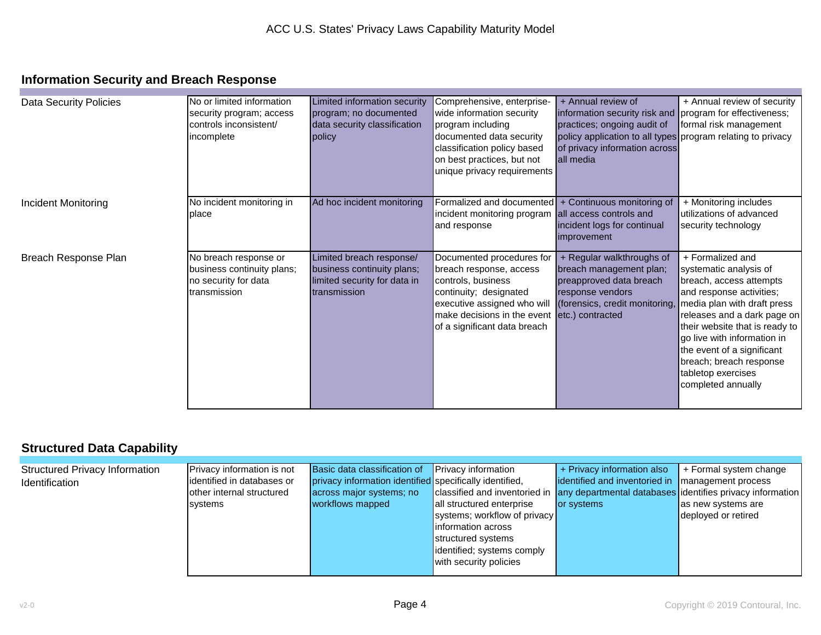### **Information Security and Breach Response**

| <b>Data Security Policies</b> | No or limited information<br>security program; access<br>controls inconsistent/<br>incomplete | Limited information security<br>program; no documented<br>data security classification<br>policy       | Comprehensive, enterprise-<br>wide information security<br>program including<br>documented data security<br>classification policy based<br>on best practices, but not<br>unique privacy requirements | + Annual review of<br>information security risk and program for effectiveness;<br>practices; ongoing audit of<br>policy application to all types program relating to privacy<br>of privacy information across<br>lall media | + Annual review of security<br>formal risk management                                                                                                                                                                                                                                                  |
|-------------------------------|-----------------------------------------------------------------------------------------------|--------------------------------------------------------------------------------------------------------|------------------------------------------------------------------------------------------------------------------------------------------------------------------------------------------------------|-----------------------------------------------------------------------------------------------------------------------------------------------------------------------------------------------------------------------------|--------------------------------------------------------------------------------------------------------------------------------------------------------------------------------------------------------------------------------------------------------------------------------------------------------|
| Incident Monitoring           | No incident monitoring in                                                                     | Ad hoc incident monitoring                                                                             | Formalized and documented   + Continuous monitoring of                                                                                                                                               |                                                                                                                                                                                                                             | + Monitoring includes                                                                                                                                                                                                                                                                                  |
|                               | place                                                                                         |                                                                                                        | incident monitoring program all access controls and<br>and response                                                                                                                                  | incident logs for continual<br>improvement                                                                                                                                                                                  | utilizations of advanced<br>security technology                                                                                                                                                                                                                                                        |
| Breach Response Plan          | No breach response or<br>business continuity plans;<br>no security for data<br>transmission   | Limited breach response/<br>business continuity plans;<br>limited security for data in<br>transmission | Documented procedures for<br>breach response, access<br>controls, business<br>continuity; designated<br>executive assigned who will<br>make decisions in the event<br>of a significant data breach   | + Regular walkthroughs of<br>breach management plan;<br>preapproved data breach<br>response vendors<br>(forensics, credit monitoring, media plan with draft press<br>etc.) contracted                                       | + Formalized and<br>systematic analysis of<br>breach, access attempts<br>and response activities;<br>releases and a dark page on<br>their website that is ready to<br>go live with information in<br>the event of a significant<br>breach; breach response<br>tabletop exercises<br>completed annually |

### **Structured Data Capability**

| <b>Structured Privacy Information</b> | Privacy information is not | Basic data classification of                            | <b>Privacy information</b>   | + Privacy information also                                                              | $\vert$ + Formal system change |
|---------------------------------------|----------------------------|---------------------------------------------------------|------------------------------|-----------------------------------------------------------------------------------------|--------------------------------|
| Identification                        | identified in databases or | privacy information identified specifically identified, |                              | identified and inventoried in Imanagement process                                       |                                |
|                                       | other internal structured  | across major systems; no                                |                              | classified and inventoried in any departmental databases identifies privacy information |                                |
|                                       | systems                    | workflows mapped                                        | all structured enterprise    | or systems                                                                              | as new systems are             |
|                                       |                            |                                                         | systems; workflow of privacy |                                                                                         | deployed or retired            |
|                                       |                            |                                                         | linformation across          |                                                                                         |                                |
|                                       |                            |                                                         | structured systems           |                                                                                         |                                |
|                                       |                            |                                                         | identified; systems comply   |                                                                                         |                                |
|                                       |                            |                                                         | with security policies       |                                                                                         |                                |
|                                       |                            |                                                         |                              |                                                                                         |                                |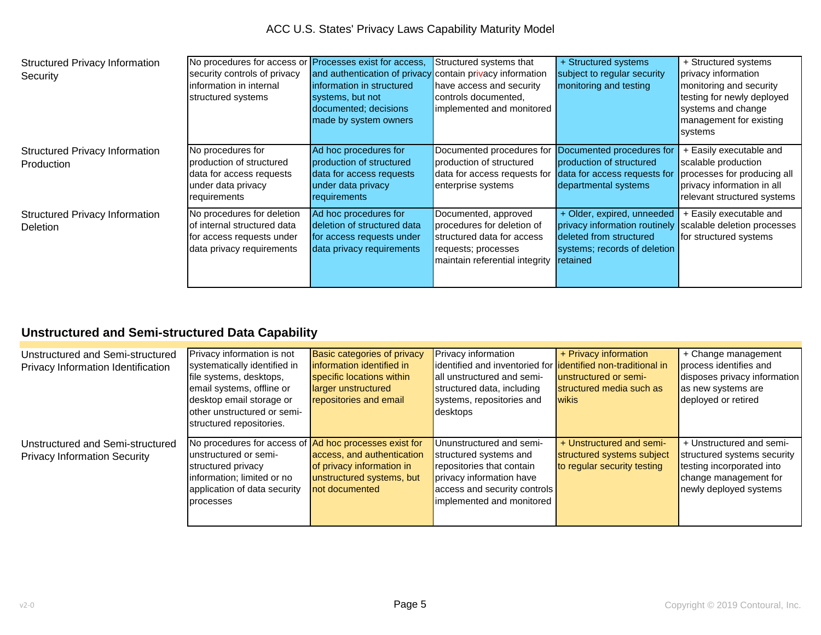ACC U.S. States' Privacy Laws Capability Maturity Model

| <b>Structured Privacy Information</b><br>Security        | No procedures for access or Processes exist for access,<br>security controls of privacy<br>linformation in internal<br>structured systems | and authentication of privacy contain privacy information<br>linformation in structured<br>systems, but not<br>documented; decisions<br>made by system owners | Structured systems that<br>have access and security<br>controls documented,<br>implemented and monitored                                  | + Structured systems<br>subject to regular security<br>monitoring and testing                                                                                  | + Structured systems<br>privacy information<br>monitoring and security<br>testing for newly deployed<br>systems and change<br>management for existing<br>systems |
|----------------------------------------------------------|-------------------------------------------------------------------------------------------------------------------------------------------|---------------------------------------------------------------------------------------------------------------------------------------------------------------|-------------------------------------------------------------------------------------------------------------------------------------------|----------------------------------------------------------------------------------------------------------------------------------------------------------------|------------------------------------------------------------------------------------------------------------------------------------------------------------------|
| <b>Structured Privacy Information</b><br>Production      | No procedures for<br>production of structured<br>data for access requests<br>under data privacy<br>requirements                           | Ad hoc procedures for<br>production of structured<br>data for access requests<br>under data privacy<br><b>requirements</b>                                    | Documented procedures for<br>production of structured<br>data for access requests for<br>enterprise systems                               | Documented procedures for<br>Iproduction of structured<br>data for access requests for<br>departmental systems                                                 | + Easily executable and<br>scalable production<br>processes for producing all<br>privacy information in all<br>relevant structured systems                       |
| <b>Structured Privacy Information</b><br><b>Deletion</b> | No procedures for deletion<br>of internal structured data<br>for access requests under<br>data privacy requirements                       | Ad hoc procedures for<br>deletion of structured data<br>for access requests under<br>data privacy requirements                                                | Documented, approved<br>procedures for deletion of<br>structured data for access<br>requests; processes<br>maintain referential integrity | + Older, expired, unneeded<br>privacy information routinely scalable deletion processes<br>deleted from structured<br>systems; records of deletion<br>retained | + Easily executable and<br>for structured systems                                                                                                                |

## **Unstructured and Semi-structured Data Capability**

| Unstructured and Semi-structured    | Privacy information is not                             | <b>Basic categories of privacy</b> | Privacy information                                                  | + Privacy information       | + Change management          |
|-------------------------------------|--------------------------------------------------------|------------------------------------|----------------------------------------------------------------------|-----------------------------|------------------------------|
| Privacy Information Identification  | systematically identified in                           | information identified in          | identified and inventoried for <b>lidentified non-traditional in</b> |                             | process identifies and       |
|                                     | file systems, desktops,                                | specific locations within          | all unstructured and semi-                                           | lunstructured or semi-      | disposes privacy information |
|                                     | email systems, offline or                              | larger unstructured                | structured data, including                                           | structured media such as    | as new systems are           |
|                                     | desktop email storage or                               | repositories and email             | systems, repositories and                                            | <b>wikis</b>                | deployed or retired          |
|                                     | lother unstructured or semi-                           |                                    | desktops                                                             |                             |                              |
|                                     | structured repositories.                               |                                    |                                                                      |                             |                              |
|                                     |                                                        |                                    |                                                                      |                             |                              |
| Unstructured and Semi-structured    | No procedures for access of Ad hoc processes exist for |                                    | Ununstructured and semi-                                             | + Unstructured and semi-    | + Unstructured and semi-     |
| <b>Privacy Information Security</b> | lunstructured or semi-                                 | access, and authentication         | structured systems and                                               | structured systems subject  | structured systems security  |
|                                     | structured privacy                                     | of privacy information in          | repositories that contain                                            | to regular security testing | testing incorporated into    |
|                                     | information; limited or no                             | unstructured systems, but          | privacy information have                                             |                             | change management for        |
|                                     | application of data security                           | not documented                     | access and security controls                                         |                             | newly deployed systems       |
|                                     | processes                                              |                                    | implemented and monitored                                            |                             |                              |
|                                     |                                                        |                                    |                                                                      |                             |                              |
|                                     |                                                        |                                    |                                                                      |                             |                              |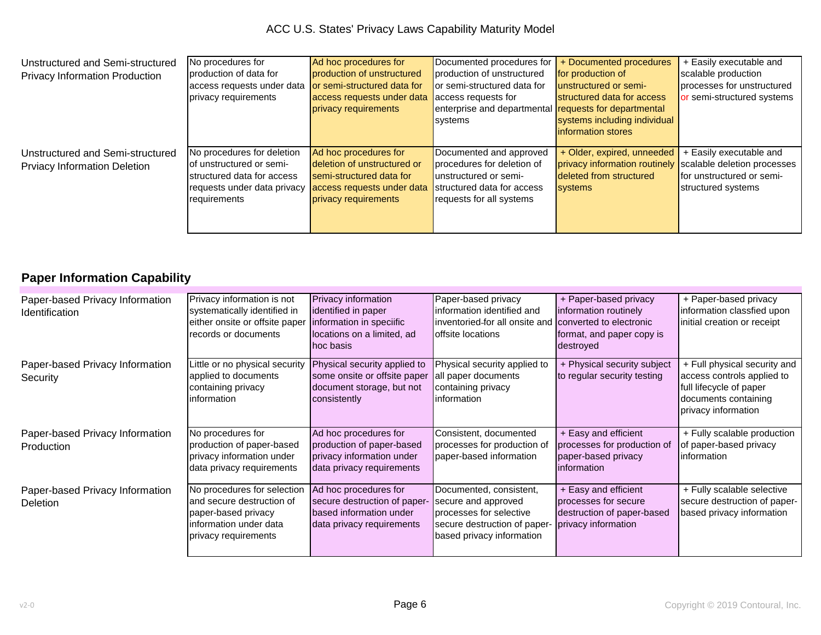| Unstructured and Semi-structured      | No procedures for           | Ad hoc procedures for       | Documented procedures for                             | + Documented procedures                                   | + Easily executable and    |
|---------------------------------------|-----------------------------|-----------------------------|-------------------------------------------------------|-----------------------------------------------------------|----------------------------|
| <b>Privacy Information Production</b> | production of data for      | production of unstructured  | production of unstructured                            | for production of                                         | scalable production        |
|                                       | access requests under data  | or semi-structured data for | or semi-structured data for                           | unstructured or semi-                                     | processes for unstructured |
|                                       | privacy requirements        | access requests under data  | access requests for                                   | structured data for access                                | or semi-structured systems |
|                                       |                             | privacy requirements        | enterprise and departmental requests for departmental |                                                           |                            |
|                                       |                             |                             | <b>Systems</b>                                        | systems including individual                              |                            |
|                                       |                             |                             |                                                       | linformation stores                                       |                            |
|                                       |                             |                             |                                                       |                                                           |                            |
| Unstructured and Semi-structured      | No procedures for deletion  | Ad hoc procedures for       | Documented and approved                               | + Older, expired, unneeded                                | + Easily executable and    |
| <b>Prviacy Information Deletion</b>   | lof unstructured or semi-   | deletion of unstructured or | procedures for deletion of                            | privacy information routinely scalable deletion processes |                            |
|                                       | structured data for access  | semi-structured data for    | unstructured or semi-                                 | deleted from structured                                   | for unstructured or semi-  |
|                                       | requests under data privacy | access requests under data  | structured data for access                            | <b>systems</b>                                            | structured systems         |
|                                       | requirements                | privacy requirements        | requests for all systems                              |                                                           |                            |
|                                       |                             |                             |                                                       |                                                           |                            |
|                                       |                             |                             |                                                       |                                                           |                            |
|                                       |                             |                             |                                                       |                                                           |                            |

# **Paper Information Capability**

| Paper-based Privacy Information<br>Identification | Privacy information is not<br>systematically identified in<br>either onsite or offsite paper<br>records or documents              | Privacy information<br>identified in paper<br>information in speciific<br>locations on a limited, ad<br>hoc basis | Paper-based privacy<br>linformation identified and<br>inventoried-for all onsite and<br>offsite locations                              | + Paper-based privacy<br>information routinely<br>converted to electronic<br>format, and paper copy is<br>destroyed | + Paper-based privacy<br>information classfied upon<br>initial creation or receipt                                                   |
|---------------------------------------------------|-----------------------------------------------------------------------------------------------------------------------------------|-------------------------------------------------------------------------------------------------------------------|----------------------------------------------------------------------------------------------------------------------------------------|---------------------------------------------------------------------------------------------------------------------|--------------------------------------------------------------------------------------------------------------------------------------|
| Paper-based Privacy Information<br>Security       | Little or no physical security<br>applied to documents<br>containing privacy<br>information                                       | Physical security applied to<br>some onsite or offsite paper<br>document storage, but not<br>consistently         | Physical security applied to<br>all paper documents<br>containing privacy<br>linformation                                              | + Physical security subject<br>to regular security testing                                                          | + Full physical security and<br>access controls applied to<br>full lifecycle of paper<br>documents containing<br>privacy information |
| Paper-based Privacy Information<br>Production     | No procedures for<br>production of paper-based<br>privacy information under<br>data privacy requirements                          | Ad hoc procedures for<br>production of paper-based<br>privacy information under<br>data privacy requirements      | Consistent, documented<br>processes for production of<br>paper-based information                                                       | + Easy and efficient<br>processes for production of<br>paper-based privacy<br>linformation                          | + Fully scalable production<br>of paper-based privacy<br>Iinformation                                                                |
| Paper-based Privacy Information<br>Deletion       | No procedures for selection<br>and secure destruction of<br>paper-based privacy<br>information under data<br>privacy requirements | Ad hoc procedures for<br>secure destruction of paper-<br>based information under<br>data privacy requirements     | Documented, consistent,<br>secure and approved<br>processes for selective<br>secure destruction of paper-<br>based privacy information | + Easy and efficient<br>processes for secure<br>destruction of paper-based<br>privacy information                   | + Fully scalable selective<br>secure destruction of paper-<br>based privacy information                                              |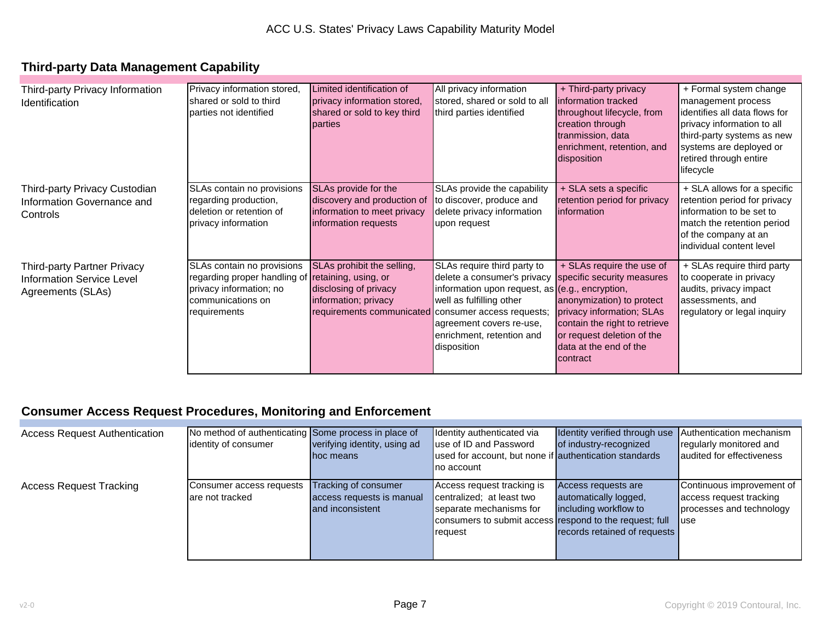# **Third-party Data Management Capability**

| Third-party Privacy Information<br>Identification                                    | Privacy information stored,<br>shared or sold to third<br>parties not identified                                                                | Limited identification of<br>privacy information stored,<br>shared or sold to key third<br>parties                                 | All privacy information<br>stored, shared or sold to all<br>third parties identified                                                                                                                                | + Third-party privacy<br>Information tracked<br>throughout lifecycle, from<br>creation through<br>tranmission, data<br>enrichment, retention, and                                                                      | + Formal system change<br>management process<br>identifies all data flows for<br>privacy information to all<br>third-party systems as new<br>systems are deployed or<br>retired through entire |
|--------------------------------------------------------------------------------------|-------------------------------------------------------------------------------------------------------------------------------------------------|------------------------------------------------------------------------------------------------------------------------------------|---------------------------------------------------------------------------------------------------------------------------------------------------------------------------------------------------------------------|------------------------------------------------------------------------------------------------------------------------------------------------------------------------------------------------------------------------|------------------------------------------------------------------------------------------------------------------------------------------------------------------------------------------------|
|                                                                                      |                                                                                                                                                 |                                                                                                                                    |                                                                                                                                                                                                                     | disposition                                                                                                                                                                                                            | lifecycle                                                                                                                                                                                      |
| Third-party Privacy Custodian<br>Information Governance and<br>Controls              | SLAs contain no provisions<br>regarding production,<br>deletion or retention of<br>privacy information                                          | SLAs provide for the<br>discovery and production of<br>information to meet privacy<br>information requests                         | SLAs provide the capability<br>to discover, produce and<br>delete privacy information<br>upon request                                                                                                               | + SLA sets a specific<br>retention period for privacy<br>linformation                                                                                                                                                  | + SLA allows for a specific<br>retention period for privacy<br>linformation to be set to<br>match the retention period<br>of the company at an<br>lindividual content level                    |
| <b>Third-party Partner Privacy</b><br>Information Service Level<br>Agreements (SLAs) | SLAs contain no provisions<br>regarding proper handling of retaining, using, or<br>privacy information; no<br>communications on<br>requirements | SLAs prohibit the selling,<br>disclosing of privacy<br>information; privacy<br>requirements communicated consumer access requests; | SLAs require third party to<br>delete a consumer's privacy<br>information upon request, as $(e.g., encryption,$<br>well as fulfilling other<br>agreement covers re-use,<br>enrichment, retention and<br>disposition | + SLAs require the use of<br>specific security measures<br>anonymization) to protect<br>privacy information; SLAs<br>contain the right to retrieve<br>or request deletion of the<br>data at the end of the<br>contract | + SLAs require third party<br>to cooperate in privacy<br>audits, privacy impact<br>assessments, and<br>regulatory or legal inquiry                                                             |

### **Consumer Access Request Procedures, Monitoring and Enforcement**

| <b>Access Request Authentication</b> | No method of authenticating Some process in place of |                              | Identity authenticated via                              | Identity verified through use Authentication mechanism |                           |
|--------------------------------------|------------------------------------------------------|------------------------------|---------------------------------------------------------|--------------------------------------------------------|---------------------------|
|                                      | identity of consumer                                 | verifying identity, using ad | use of ID and Password                                  | of industry-recognized                                 | regularly monitored and   |
|                                      |                                                      | hoc means                    | used for account, but none if authentication standards  |                                                        | audited for effectiveness |
|                                      |                                                      |                              | Ino account                                             |                                                        |                           |
| <b>Access Request Tracking</b>       | Consumer access requests                             | Tracking of consumer         | Access request tracking is                              | Access requests are                                    | Continuous improvement of |
|                                      | are not tracked                                      | access requests is manual    | centralized; at least two                               | automatically logged,                                  | access request tracking   |
|                                      |                                                      | and inconsistent             | separate mechanisms for                                 | including workflow to                                  | processes and technology  |
|                                      |                                                      |                              | consumers to submit access respond to the request; full |                                                        | <b>luse</b>               |
|                                      |                                                      |                              | <b>request</b>                                          | records retained of requests                           |                           |
|                                      |                                                      |                              |                                                         |                                                        |                           |
|                                      |                                                      |                              |                                                         |                                                        |                           |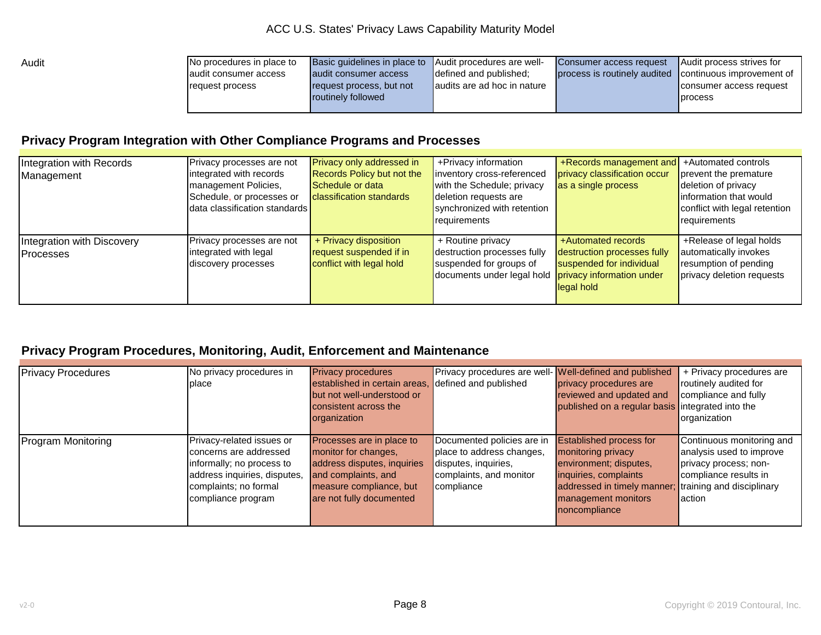| Audit | No procedures in place to | Basic guidelines in place to Audit procedures are well- |                             | Consumer access request                                | Audit process strives for |
|-------|---------------------------|---------------------------------------------------------|-----------------------------|--------------------------------------------------------|---------------------------|
|       | laudit consumer access    | audit consumer access                                   | Idefined and published:     | process is routinely audited continuous improvement of |                           |
|       | request process           | request process, but not                                | audits are ad hoc in nature |                                                        | Consumer access request   |
|       |                           | <b>routinely followed</b>                               |                             |                                                        | <b>process</b>            |
|       |                           |                                                         |                             |                                                        |                           |

### **Privacy Program Integration with Other Compliance Programs and Processes**

| Integration with Records   | Privacy processes are not     | <b>Privacy only addressed in</b>  | +Privacy information        | +Records management and +Automated controls |                               |
|----------------------------|-------------------------------|-----------------------------------|-----------------------------|---------------------------------------------|-------------------------------|
| Management                 | integrated with records       | <b>Records Policy but not the</b> | inventory cross-referenced  | privacy classification occur                | prevent the premature         |
|                            | management Policies,          | Schedule or data                  | with the Schedule; privacy  | as a single process                         | deletion of privacy           |
|                            | Schedule, or processes or     | <b>classification standards</b>   | deletion requests are       |                                             | linformation that would       |
|                            | data classification standards |                                   | synchronized with retention |                                             | conflict with legal retention |
|                            |                               |                                   | requirements                |                                             | requirements                  |
|                            |                               |                                   |                             |                                             |                               |
| Integration with Discovery | Privacy processes are not     | + Privacy disposition             | + Routine privacy           | +Automated records                          | +Release of legal holds       |
| <b>IProcesses</b>          | integrated with legal         | request suspended if in           | destruction processes fully | destruction processes fully                 | automatically invokes         |
|                            | discovery processes           | conflict with legal hold          | suspended for groups of     | suspended for individual                    | resumption of pending         |
|                            |                               |                                   | documents under legal hold  | privacy information under                   | privacy deletion requests     |
|                            |                               |                                   |                             | legal hold                                  |                               |
|                            |                               |                                   |                             |                                             |                               |

### **Privacy Program Procedures, Monitoring, Audit, Enforcement and Maintenance**

| <b>Privacy Procedures</b> | No privacy procedures in     | <b>Privacy procedures</b>     | Privacy procedures are well- Well-defined and published |                                                       | + Privacy procedures are  |
|---------------------------|------------------------------|-------------------------------|---------------------------------------------------------|-------------------------------------------------------|---------------------------|
|                           | place                        | established in certain areas, | defined and published                                   | privacy procedures are                                | routinely audited for     |
|                           |                              | but not well-understood or    |                                                         | reviewed and updated and                              | compliance and fully      |
|                           |                              | consistent across the         |                                                         | published on a regular basis integrated into the      |                           |
|                           |                              | organization                  |                                                         |                                                       | organization              |
|                           |                              |                               |                                                         |                                                       |                           |
| <b>Program Monitoring</b> | Privacy-related issues or    | Processes are in place to     | Documented policies are in                              | <b>Established process for</b>                        | Continuous monitoring and |
|                           | concerns are addressed       | monitor for changes,          | place to address changes,                               | monitoring privacy                                    | analysis used to improve  |
|                           | informally; no process to    | address disputes, inquiries   | disputes, inquiries,                                    | environment; disputes,                                | privacy process; non-     |
|                           | address inquiries, disputes, | and complaints, and           | complaints, and monitor                                 | inquiries, complaints                                 | compliance results in     |
|                           | complaints; no formal        | measure compliance, but       | compliance                                              | addressed in timely manner; training and disciplinary |                           |
|                           | compliance program           | are not fully documented      |                                                         | management monitors                                   | laction                   |
|                           |                              |                               |                                                         | noncompliance                                         |                           |
|                           |                              |                               |                                                         |                                                       |                           |